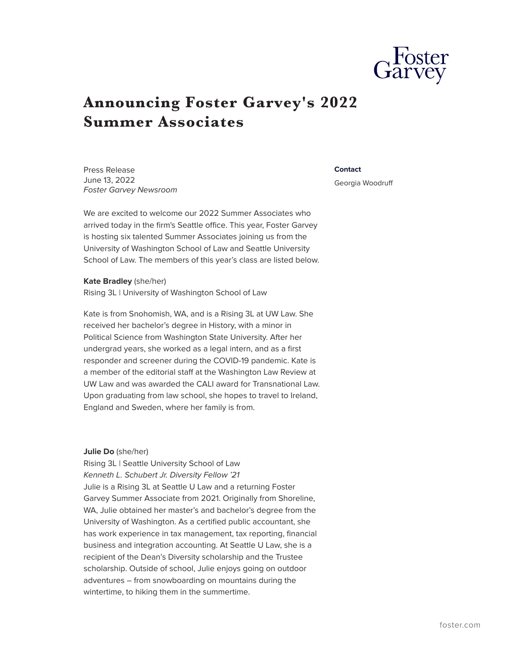

# **Announcing Foster Garvey's 2022 Summer Associates**

Press Release June 13, 2022 *Foster Garvey Newsroom*

We are excited to welcome our 2022 Summer Associates who arrived today in the firm's Seattle office. This year, Foster Garvey is hosting six talented Summer Associates joining us from the University of Washington School of Law and Seattle University School of Law. The members of this year's class are listed below.

**Kate Bradley** (she/her) Rising 3L | University of Washington School of Law

Kate is from Snohomish, WA, and is a Rising 3L at UW Law. She received her bachelor's degree in History, with a minor in Political Science from Washington State University. After her undergrad years, she worked as a legal intern, and as a first responder and screener during the COVID-19 pandemic. Kate is a member of the editorial staff at the Washington Law Review at UW Law and was awarded the CALI award for Transnational Law. Upon graduating from law school, she hopes to travel to Ireland, England and Sweden, where her family is from.

#### **Julie Do** (she/her)

Rising 3L | Seattle University School of Law *Kenneth L. Schubert Jr. Diversity Fellow '21* Julie is a Rising 3L at Seattle U Law and a returning Foster Garvey Summer Associate from 2021. Originally from Shoreline, WA, Julie obtained her master's and bachelor's degree from the University of Washington. As a certified public accountant, she has work experience in tax management, tax reporting, financial business and integration accounting. At Seattle U Law, she is a recipient of the Dean's Diversity scholarship and the Trustee scholarship. Outside of school, Julie enjoys going on outdoor adventures – from snowboarding on mountains during the wintertime, to hiking them in the summertime.

#### **Contact**

Georgia Woodruff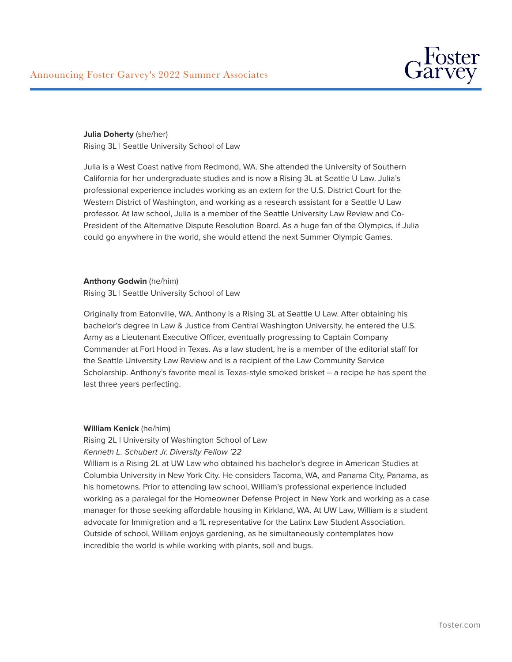

**Julia Doherty** (she/her) Rising 3L | Seattle University School of Law

Julia is a West Coast native from Redmond, WA. She attended the University of Southern California for her undergraduate studies and is now a Rising 3L at Seattle U Law. Julia's professional experience includes working as an extern for the U.S. District Court for the Western District of Washington, and working as a research assistant for a Seattle U Law professor. At law school, Julia is a member of the Seattle University Law Review and Co-President of the Alternative Dispute Resolution Board. As a huge fan of the Olympics, if Julia could go anywhere in the world, she would attend the next Summer Olympic Games.

## **Anthony Godwin** (he/him)

Rising 3L | Seattle University School of Law

Originally from Eatonville, WA, Anthony is a Rising 3L at Seattle U Law. After obtaining his bachelor's degree in Law & Justice from Central Washington University, he entered the U.S. Army as a Lieutenant Executive Officer, eventually progressing to Captain Company Commander at Fort Hood in Texas. As a law student, he is a member of the editorial staff for the Seattle University Law Review and is a recipient of the Law Community Service Scholarship. Anthony's favorite meal is Texas-style smoked brisket – a recipe he has spent the last three years perfecting.

## **William Kenick** (he/him)

Rising 2L | University of Washington School of Law *Kenneth L. Schubert Jr. Diversity Fellow '22*

William is a Rising 2L at UW Law who obtained his bachelor's degree in American Studies at Columbia University in New York City. He considers Tacoma, WA, and Panama City, Panama, as his hometowns. Prior to attending law school, William's professional experience included working as a paralegal for the Homeowner Defense Project in New York and working as a case manager for those seeking affordable housing in Kirkland, WA. At UW Law, William is a student advocate for Immigration and a 1L representative for the Latinx Law Student Association. Outside of school, William enjoys gardening, as he simultaneously contemplates how incredible the world is while working with plants, soil and bugs.